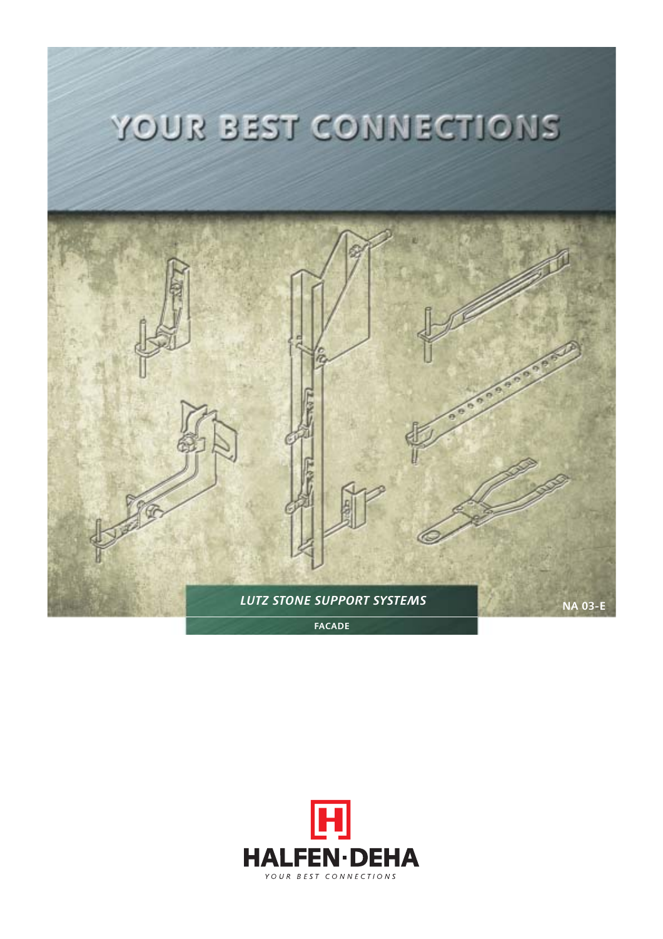

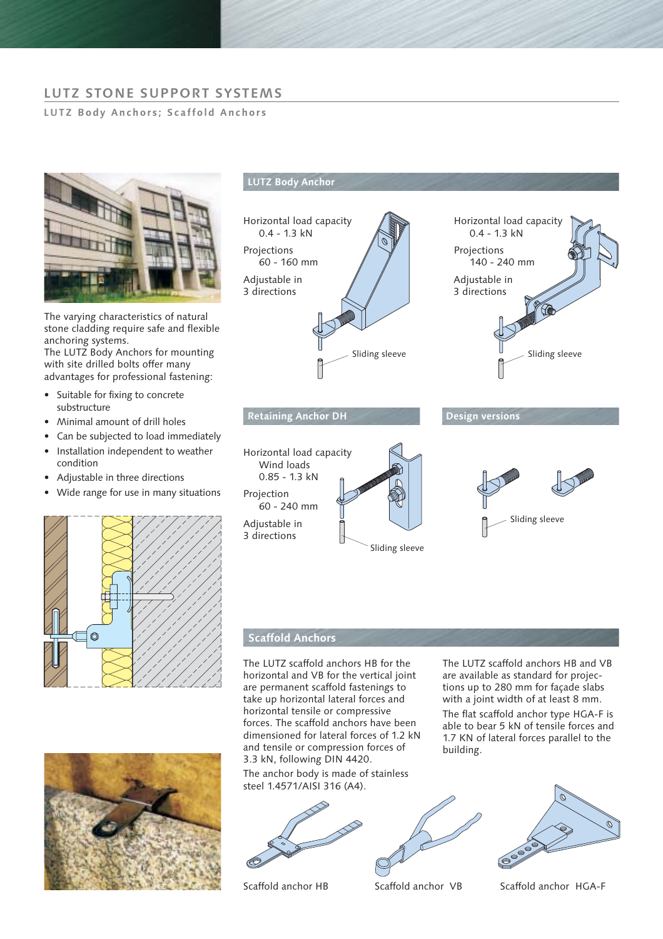# **LUTZ STONE SUPPORT SYSTEMS**

### **LUTZ Body Anchors; Scaffold Anchors**



The varying characteristics of natural stone cladding require safe and flexible anchoring systems.

The LUTZ Body Anchors for mounting with site drilled bolts offer many advantages for professional fastening:

- Suitable for fixing to concrete substructure
- Minimal amount of drill holes
- Can be subjected to load immediately
- Installation independent to weather condition
- Adjustable in three directions
- Wide range for use in many situations





## **LUTZ Body Anchor**



## **Scaffold Anchors**

The LUTZ scaffold anchors HB for the horizontal and VB for the vertical joint are permanent scaffold fastenings to take up horizontal lateral forces and horizontal tensile or compressive forces. The scaffold anchors have been dimensioned for lateral forces of 1.2 kN and tensile or compression forces of 3.3 kN, following DIN 4420.

The anchor body is made of stainless steel 1.4571/AISI 316 (A4).





The LUTZ scaffold anchors HB and VB are available as standard for projections up to 280 mm for façade slabs with a joint width of at least 8 mm.

The flat scaffold anchor type HGA-F is able to bear 5 kN of tensile forces and 1.7 KN of lateral forces parallel to the building.



Scaffold anchor HB Scaffold anchor VB Scaffold anchor HGA-F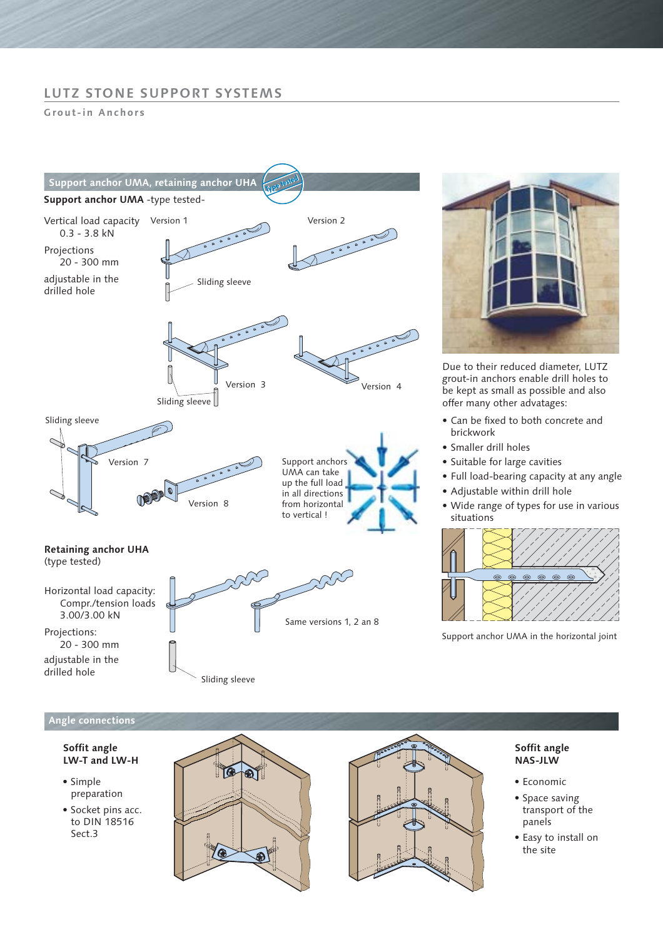## **LUTZ STONE SUPPORT SYSTEMS**

**Grout-in Anchors**





Due to their reduced diameter, LUTZ grout-in anchors enable drill holes to be kept as small as possible and also offer many other advatages:

- Can be fixed to both concrete and brickwork
- Smaller drill holes
- Suitable for large cavities
- Full load-bearing capacity at any angle
- Adjustable within drill hole
- Wide range of types for use in various situations



Support anchor UMA in the horizontal joint

## **Angle connections**

### **Soffit angle LW-T and LW-H**

- Simple preparation
- Socket pins acc. to DIN 18516 Sect.3





### **Soffit angle NAS-JLW**

- Economic
- Space saving transport of the panels
- Easy to install on the site